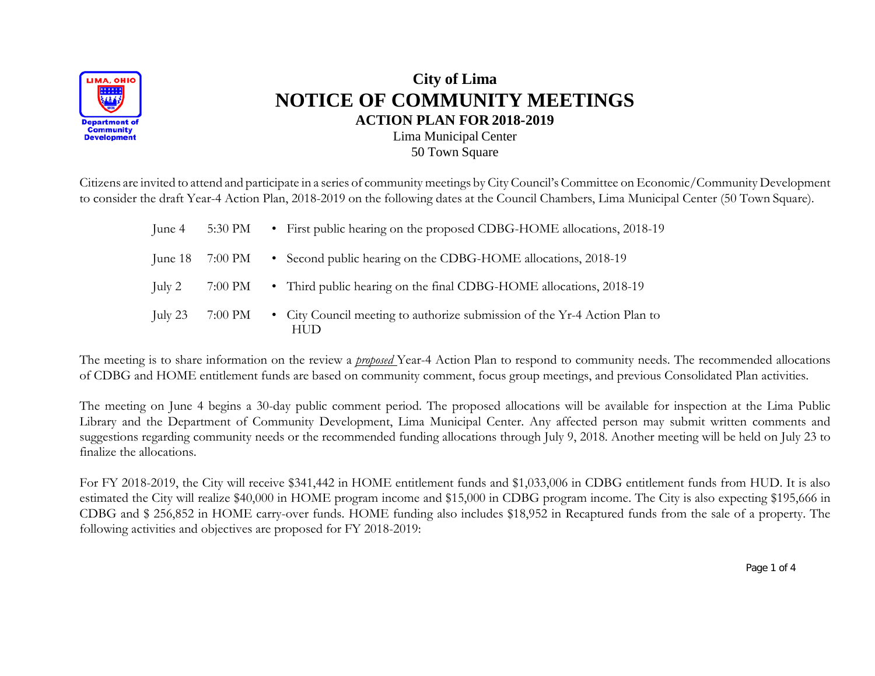

## **City of Lima NOTICE OF COMMUNITY MEETINGS ACTION PLAN FOR 2018-2019** Lima Municipal Center 50 Town Square

Citizens are invited to attend and participate in a series of community meetings by City Council's Committee on Economic/Community Development to consider the draft Year-4 Action Plan, 2018-2019 on the following dates at the Council Chambers, Lima Municipal Center (50 Town Square).

| June 4    | 5:30 PM           | • First public hearing on the proposed CDBG-HOME allocations, 2018-19            |
|-----------|-------------------|----------------------------------------------------------------------------------|
|           | June $18$ 7:00 PM | • Second public hearing on the CDBG-HOME allocations, 2018-19                    |
| July $2$  | 7:00 PM           | • Third public hearing on the final CDBG-HOME allocations, 2018-19               |
| July $23$ | 7:00 PM           | • City Council meeting to authorize submission of the Yr-4 Action Plan to<br>HUD |

The meeting is to share information on the review a *proposed* Year-4 Action Plan to respond to community needs. The recommended allocations of CDBG and HOME entitlement funds are based on community comment, focus group meetings, and previous Consolidated Plan activities.

The meeting on June 4 begins a 30-day public comment period. The proposed allocations will be available for inspection at the Lima Public Library and the Department of Community Development, Lima Municipal Center. Any affected person may submit written comments and suggestions regarding community needs or the recommended funding allocations through July 9, 2018. Another meeting will be held on July 23 to finalize the allocations.

For FY 2018-2019, the City will receive \$341,442 in HOME entitlement funds and \$1,033,006 in CDBG entitlement funds from HUD. It is also estimated the City will realize \$40,000 in HOME program income and \$15,000 in CDBG program income. The City is also expecting \$195,666 in CDBG and \$ 256,852 in HOME carry-over funds. HOME funding also includes \$18,952 in Recaptured funds from the sale of a property. The following activities and objectives are proposed for FY 2018-2019:

Page 1 of 4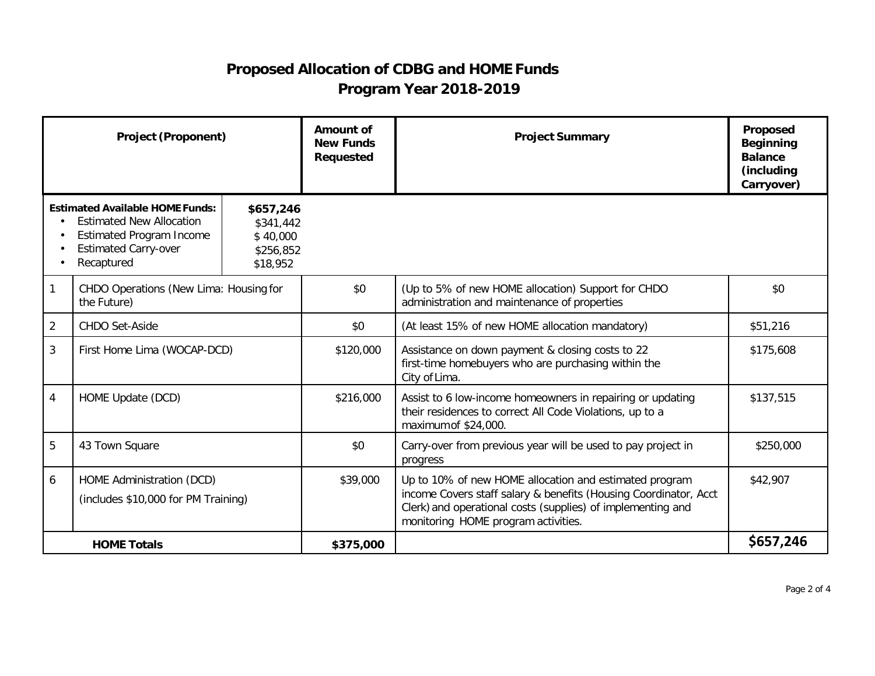## **Proposed Allocation of CDBG and HOME Funds Program Year 2018-2019**

| <b>Project (Proponent)</b> |                                                                                                                                                           |                                                             | <b>Amount of</b><br><b>New Funds</b><br><b>Requested</b> | <b>Project Summary</b>                                                                                                                                                                                                           | Proposed<br><b>Beginning</b><br><b>Balance</b><br>(including<br>Carryover) |
|----------------------------|-----------------------------------------------------------------------------------------------------------------------------------------------------------|-------------------------------------------------------------|----------------------------------------------------------|----------------------------------------------------------------------------------------------------------------------------------------------------------------------------------------------------------------------------------|----------------------------------------------------------------------------|
|                            | <b>Estimated Available HOME Funds:</b><br><b>Estimated New Allocation</b><br><b>Estimated Program Income</b><br><b>Estimated Carry-over</b><br>Recaptured | \$657,246<br>\$341,442<br>\$40,000<br>\$256,852<br>\$18,952 |                                                          |                                                                                                                                                                                                                                  |                                                                            |
|                            | CHDO Operations (New Lima: Housing for<br>the Future)                                                                                                     |                                                             | \$0                                                      | (Up to 5% of new HOME allocation) Support for CHDO<br>administration and maintenance of properties                                                                                                                               | \$0                                                                        |
| $\overline{2}$             | <b>CHDO Set-Aside</b>                                                                                                                                     |                                                             | \$0                                                      | (At least 15% of new HOME allocation mandatory)                                                                                                                                                                                  | \$51,216                                                                   |
| 3                          | First Home Lima (WOCAP-DCD)                                                                                                                               |                                                             | \$120,000                                                | Assistance on down payment & closing costs to 22<br>first-time homebuyers who are purchasing within the<br>City of Lima.                                                                                                         | \$175,608                                                                  |
| 4                          | HOME Update (DCD)                                                                                                                                         |                                                             | \$216,000                                                | Assist to 6 low-income homeowners in repairing or updating<br>their residences to correct All Code Violations, up to a<br>maximum of \$24,000.                                                                                   | \$137,515                                                                  |
| 5                          | 43 Town Square                                                                                                                                            |                                                             | \$0                                                      | Carry-over from previous year will be used to pay project in<br>progress                                                                                                                                                         | \$250,000                                                                  |
| 6                          | HOME Administration (DCD)<br>(includes \$10,000 for PM Training)                                                                                          |                                                             | \$39,000                                                 | Up to 10% of new HOME allocation and estimated program<br>income Covers staff salary & benefits (Housing Coordinator, Acct<br>Clerk) and operational costs (supplies) of implementing and<br>monitoring HOME program activities. | \$42,907                                                                   |
| <b>HOME Totals</b>         |                                                                                                                                                           |                                                             | \$375,000                                                |                                                                                                                                                                                                                                  | \$657,246                                                                  |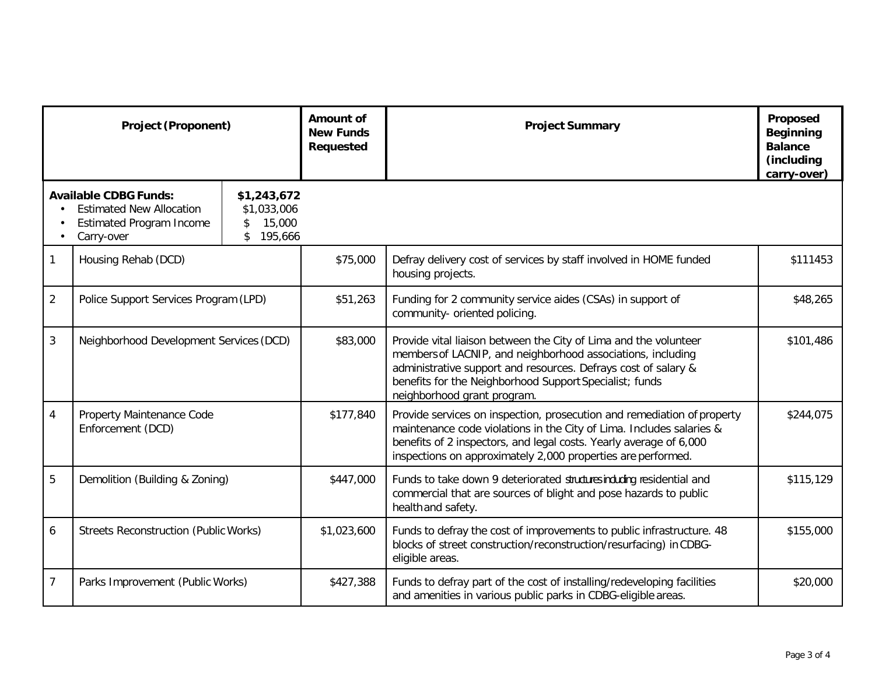| <b>Project (Proponent)</b>                                                                                                                                                      |                                                |  | Amount of<br><b>New Funds</b><br>Requested | <b>Project Summary</b>                                                                                                                                                                                                                                                                      | Proposed<br><b>Beginning</b><br><b>Balance</b><br>(including<br>carry-over) |
|---------------------------------------------------------------------------------------------------------------------------------------------------------------------------------|------------------------------------------------|--|--------------------------------------------|---------------------------------------------------------------------------------------------------------------------------------------------------------------------------------------------------------------------------------------------------------------------------------------------|-----------------------------------------------------------------------------|
| <b>Available CDBG Funds:</b><br>\$1,243,672<br><b>Estimated New Allocation</b><br>\$1,033,006<br>15,000<br><b>Estimated Program Income</b><br>\$<br>\$<br>195,666<br>Carry-over |                                                |  |                                            |                                                                                                                                                                                                                                                                                             |                                                                             |
| $\mathbf{1}$                                                                                                                                                                    | Housing Rehab (DCD)                            |  | \$75,000                                   | Defray delivery cost of services by staff involved in HOME funded<br>housing projects.                                                                                                                                                                                                      | \$111453                                                                    |
| $\overline{2}$                                                                                                                                                                  | Police Support Services Program (LPD)          |  | \$51,263                                   | Funding for 2 community service aides (CSAs) in support of<br>community- oriented policing.                                                                                                                                                                                                 | \$48,265                                                                    |
| $\mathbf{3}$                                                                                                                                                                    | Neighborhood Development Services (DCD)        |  | \$83,000                                   | Provide vital liaison between the City of Lima and the volunteer<br>members of LACNIP, and neighborhood associations, including<br>administrative support and resources. Defrays cost of salary &<br>benefits for the Neighborhood Support Specialist; funds<br>neighborhood grant program. | \$101,486                                                                   |
| $\overline{4}$                                                                                                                                                                  | Property Maintenance Code<br>Enforcement (DCD) |  | \$177,840                                  | Provide services on inspection, prosecution and remediation of property<br>maintenance code violations in the City of Lima. Includes salaries &<br>benefits of 2 inspectors, and legal costs. Yearly average of 6,000<br>inspections on approximately 2,000 properties are performed.       | \$244,075                                                                   |
| 5                                                                                                                                                                               | Demolition (Building & Zoning)                 |  | \$447,000                                  | Funds to take down 9 deteriorated structures including residential and<br>commercial that are sources of blight and pose hazards to public<br>health and safety.                                                                                                                            | \$115,129                                                                   |
| 6                                                                                                                                                                               | <b>Streets Reconstruction (Public Works)</b>   |  | \$1,023,600                                | Funds to defray the cost of improvements to public infrastructure. 48<br>blocks of street construction/reconstruction/resurfacing) in CDBG-<br>eligible areas.                                                                                                                              | \$155,000                                                                   |
| $\overline{7}$                                                                                                                                                                  | Parks Improvement (Public Works)               |  | \$427,388                                  | Funds to defray part of the cost of installing/redeveloping facilities<br>and amenities in various public parks in CDBG-eligible areas.                                                                                                                                                     | \$20,000                                                                    |